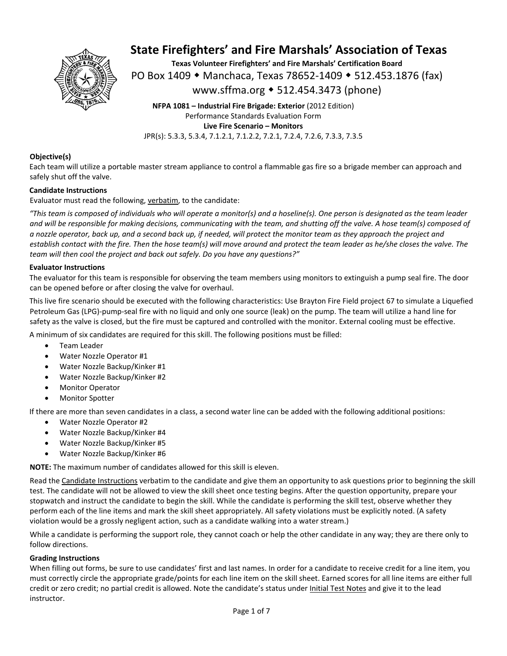

**Texas Volunteer Firefighters' and Fire Marshals' Certification Board**  PO Box 1409 ◆ Manchaca, Texas 78652-1409 ◆ 512.453.1876 (fax) www.sffma.org 512.454.3473 (phone)

**NFPA 1081 – Industrial Fire Brigade: Exterior** (2012 Edition) Performance Standards Evaluation Form **Live Fire Scenario – Monitors**  JPR(s): 5.3.3, 5.3.4, 7.1.2.1, 7.1.2.2, 7.2.1, 7.2.4, 7.2.6, 7.3.3, 7.3.5

#### **Objective(s)**

Each team will utilize a portable master stream appliance to control a flammable gas fire so a brigade member can approach and safely shut off the valve.

#### **Candidate Instructions**

Evaluator must read the following, verbatim, to the candidate:

*"This team is composed of individuals who will operate a monitor(s) and a hoseline(s). One person is designated as the team leader and will be responsible for making decisions, communicating with the team, and shutting off the valve. A hose team(s) composed of a nozzle operator, back up, and a second back up, if needed, will protect the monitor team as they approach the project and establish contact with the fire. Then the hose team(s) will move around and protect the team leader as he/she closes the valve. The team will then cool the project and back out safely. Do you have any questions?"* 

#### **Evaluator Instructions**

The evaluator for this team is responsible for observing the team members using monitors to extinguish a pump seal fire. The door can be opened before or after closing the valve for overhaul.

This live fire scenario should be executed with the following characteristics: Use Brayton Fire Field project 67 to simulate a Liquefied Petroleum Gas (LPG)‐pump‐seal fire with no liquid and only one source (leak) on the pump. The team will utilize a hand line for safety as the valve is closed, but the fire must be captured and controlled with the monitor. External cooling must be effective.

A minimum of six candidates are required for this skill. The following positions must be filled:

- Team Leader
- Water Nozzle Operator #1
- Water Nozzle Backup/Kinker #1
- Water Nozzle Backup/Kinker #2
- Monitor Operator
- Monitor Spotter

If there are more than seven candidates in a class, a second water line can be added with the following additional positions:

- Water Nozzle Operator #2
- Water Nozzle Backup/Kinker #4
- Water Nozzle Backup/Kinker #5
- Water Nozzle Backup/Kinker #6

**NOTE:** The maximum number of candidates allowed for this skill is eleven.

Read the Candidate Instructions verbatim to the candidate and give them an opportunity to ask questions prior to beginning the skill test. The candidate will not be allowed to view the skill sheet once testing begins. After the question opportunity, prepare your stopwatch and instruct the candidate to begin the skill. While the candidate is performing the skill test, observe whether they perform each of the line items and mark the skill sheet appropriately. All safety violations must be explicitly noted. (A safety violation would be a grossly negligent action, such as a candidate walking into a water stream.)

While a candidate is performing the support role, they cannot coach or help the other candidate in any way; they are there only to follow directions.

#### **Grading Instructions**

When filling out forms, be sure to use candidates' first and last names. In order for a candidate to receive credit for a line item, you must correctly circle the appropriate grade/points for each line item on the skill sheet. Earned scores for all line items are either full credit or zero credit; no partial credit is allowed. Note the candidate's status under Initial Test Notes and give it to the lead instructor.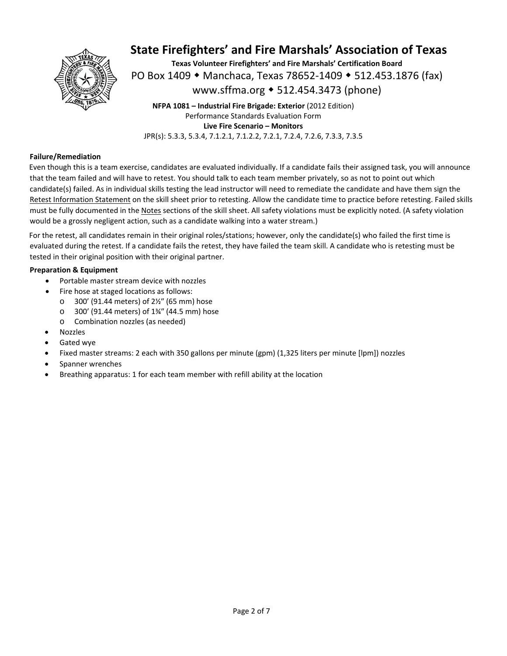

**Texas Volunteer Firefighters' and Fire Marshals' Certification Board**  PO Box 1409 ◆ Manchaca, Texas 78652-1409 ◆ 512.453.1876 (fax) www.sffma.org 512.454.3473 (phone)

**NFPA 1081 – Industrial Fire Brigade: Exterior** (2012 Edition) Performance Standards Evaluation Form **Live Fire Scenario – Monitors**  JPR(s): 5.3.3, 5.3.4, 7.1.2.1, 7.1.2.2, 7.2.1, 7.2.4, 7.2.6, 7.3.3, 7.3.5

#### **Failure/Remediation**

Even though this is a team exercise, candidates are evaluated individually. If a candidate fails their assigned task, you will announce that the team failed and will have to retest. You should talk to each team member privately, so as not to point out which candidate(s) failed. As in individual skills testing the lead instructor will need to remediate the candidate and have them sign the Retest Information Statement on the skill sheet prior to retesting. Allow the candidate time to practice before retesting. Failed skills must be fully documented in the Notes sections of the skill sheet. All safety violations must be explicitly noted. (A safety violation would be a grossly negligent action, such as a candidate walking into a water stream.)

For the retest, all candidates remain in their original roles/stations; however, only the candidate(s) who failed the first time is evaluated during the retest. If a candidate fails the retest, they have failed the team skill. A candidate who is retesting must be tested in their original position with their original partner.

#### **Preparation & Equipment**

- Portable master stream device with nozzles
- Fire hose at staged locations as follows:
	- o 300' (91.44 meters) of 2½″ (65 mm) hose
	- o 300' (91.44 meters) of 1¾″ (44.5 mm) hose
	- o Combination nozzles (as needed)
- Nozzles
- Gated wye
- Fixed master streams: 2 each with 350 gallons per minute (gpm) (1,325 liters per minute [lpm]) nozzles
- Spanner wrenches
- Breathing apparatus: 1 for each team member with refill ability at the location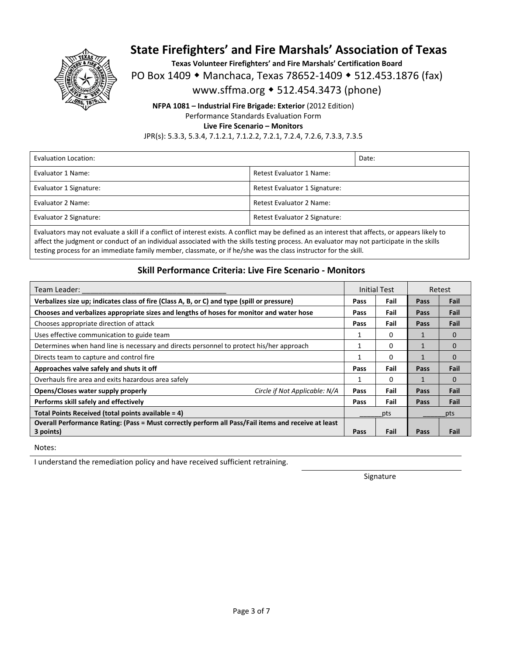

**Texas Volunteer Firefighters' and Fire Marshals' Certification Board** 

PO Box 1409 • Manchaca, Texas 78652-1409 • 512.453.1876 (fax)

www.sffma.org 512.454.3473 (phone)

**NFPA 1081 – Industrial Fire Brigade: Exterior** (2012 Edition) Performance Standards Evaluation Form **Live Fire Scenario – Monitors** 

JPR(s): 5.3.3, 5.3.4, 7.1.2.1, 7.1.2.2, 7.2.1, 7.2.4, 7.2.6, 7.3.3, 7.3.5

| Evaluation Location:   |                               | Date: |
|------------------------|-------------------------------|-------|
| Evaluator 1 Name:      | Retest Evaluator 1 Name:      |       |
| Evaluator 1 Signature: | Retest Evaluator 1 Signature: |       |
| Evaluator 2 Name:      | Retest Evaluator 2 Name:      |       |
| Evaluator 2 Signature: | Retest Evaluator 2 Signature: |       |

Evaluators may not evaluate a skill if a conflict of interest exists. A conflict may be defined as an interest that affects, or appears likely to affect the judgment or conduct of an individual associated with the skills testing process. An evaluator may not participate in the skills testing process for an immediate family member, classmate, or if he/she was the class instructor for the skill.

### **Skill Performance Criteria: Live Fire Scenario ‐ Monitors**

| Team Leader:                                                                                        |      | Initial Test |      | Retest   |
|-----------------------------------------------------------------------------------------------------|------|--------------|------|----------|
| Verbalizes size up; indicates class of fire (Class A, B, or C) and type (spill or pressure)         | Pass | Fail         | Pass | Fail     |
| Chooses and verbalizes appropriate sizes and lengths of hoses for monitor and water hose            | Pass | Fail         | Pass | Fail     |
| Chooses appropriate direction of attack                                                             | Pass | Fail         | Pass | Fail     |
| Uses effective communication to guide team                                                          |      | 0            |      | 0        |
| Determines when hand line is necessary and directs personnel to protect his/her approach            |      | 0            |      | $\Omega$ |
| Directs team to capture and control fire                                                            |      | $\Omega$     | 1    | $\Omega$ |
| Approaches valve safely and shuts it off                                                            | Pass | Fail         | Pass | Fail     |
| Overhauls fire area and exits hazardous area safely                                                 |      | 0            |      | $\Omega$ |
| Opens/Closes water supply properly<br>Circle if Not Applicable: N/A                                 | Pass | Fail         | Pass | Fail     |
| Performs skill safely and effectively                                                               | Pass | Fail         | Pass | Fail     |
| Total Points Received (total points available = 4)                                                  |      | pts          |      | pts      |
| Overall Performance Rating: (Pass = Must correctly perform all Pass/Fail items and receive at least |      |              |      |          |
| 3 points)                                                                                           | Pass | Fail         | Pass | Fail     |

Notes:

I understand the remediation policy and have received sufficient retraining.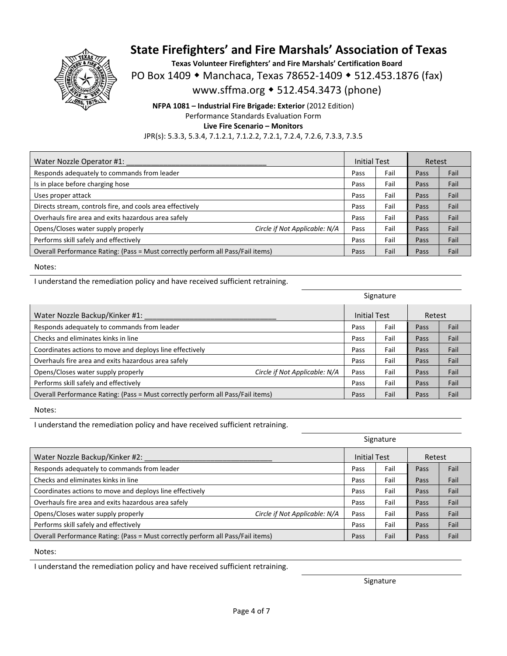

**Texas Volunteer Firefighters' and Fire Marshals' Certification Board**  PO Box 1409 • Manchaca, Texas 78652-1409 • 512.453.1876 (fax) www.sffma.org 512.454.3473 (phone)

**NFPA 1081 – Industrial Fire Brigade: Exterior** (2012 Edition) Performance Standards Evaluation Form **Live Fire Scenario – Monitors**  JPR(s): 5.3.3, 5.3.4, 7.1.2.1, 7.1.2.2, 7.2.1, 7.2.4, 7.2.6, 7.3.3, 7.3.5

| Water Nozzle Operator #1:                                                       |                               | <b>Initial Test</b> |      | Retest |      |
|---------------------------------------------------------------------------------|-------------------------------|---------------------|------|--------|------|
| Responds adequately to commands from leader                                     |                               | Pass                | Fail | Pass   | Fail |
| Is in place before charging hose                                                |                               | Pass                | Fail | Pass   | Fail |
| Uses proper attack                                                              |                               | Pass                | Fail | Pass   | Fail |
| Directs stream, controls fire, and cools area effectively                       |                               | Pass                | Fail | Pass   | Fail |
| Overhauls fire area and exits hazardous area safely                             |                               | Pass                | Fail | Pass   | Fail |
| Opens/Closes water supply properly                                              | Circle if Not Applicable: N/A | Pass                | Fail | Pass   | Fail |
| Performs skill safely and effectively                                           |                               | Pass                | Fail | Pass   | Fail |
| Overall Performance Rating: (Pass = Must correctly perform all Pass/Fail items) |                               | Pass                | Fail | Pass   | Fail |

Notes:

I understand the remediation policy and have received sufficient retraining.

|                                                                                 |                               | Signature           |      |        |      |
|---------------------------------------------------------------------------------|-------------------------------|---------------------|------|--------|------|
| Water Nozzle Backup/Kinker #1:                                                  |                               | <b>Initial Test</b> |      | Retest |      |
| Responds adequately to commands from leader                                     |                               | Pass                | Fail | Pass   | Fail |
| Checks and eliminates kinks in line                                             |                               | Pass                | Fail | Pass   | Fail |
| Coordinates actions to move and deploys line effectively                        |                               | Pass                | Fail | Pass   | Fail |
| Overhauls fire area and exits hazardous area safely                             |                               | Pass                | Fail | Pass   | Fail |
| Opens/Closes water supply properly                                              | Circle if Not Applicable: N/A | Pass                | Fail | Pass   | Fail |
| Performs skill safely and effectively                                           |                               | Pass                | Fail | Pass   | Fail |
| Overall Performance Rating: (Pass = Must correctly perform all Pass/Fail items) |                               | Pass                | Fail | Pass   | Fail |

Notes:

I understand the remediation policy and have received sufficient retraining.

|                                                                                 |                               | Signature           |      |        |      |
|---------------------------------------------------------------------------------|-------------------------------|---------------------|------|--------|------|
| Water Nozzle Backup/Kinker #2:                                                  |                               | <b>Initial Test</b> |      | Retest |      |
| Responds adequately to commands from leader                                     |                               | Pass                | Fail | Pass   | Fail |
| Checks and eliminates kinks in line                                             |                               | Pass                | Fail | Pass   | Fail |
| Coordinates actions to move and deploys line effectively                        |                               | Pass                | Fail | Pass   | Fail |
| Overhauls fire area and exits hazardous area safely                             |                               | Pass                | Fail | Pass   | Fail |
| Opens/Closes water supply properly                                              | Circle if Not Applicable: N/A | Pass                | Fail | Pass   | Fail |
| Performs skill safely and effectively                                           |                               | Pass                | Fail | Pass   | Fail |
| Overall Performance Rating: (Pass = Must correctly perform all Pass/Fail items) |                               | Pass                | Fail | Pass   | Fail |

Notes:

I understand the remediation policy and have received sufficient retraining.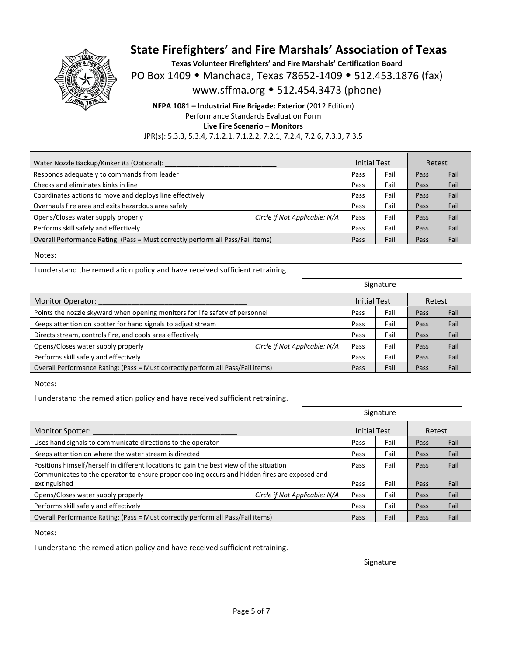

**Texas Volunteer Firefighters' and Fire Marshals' Certification Board**  PO Box 1409 • Manchaca, Texas 78652-1409 • 512.453.1876 (fax) www.sffma.org 512.454.3473 (phone)

**NFPA 1081 – Industrial Fire Brigade: Exterior** (2012 Edition) Performance Standards Evaluation Form **Live Fire Scenario – Monitors**  JPR(s): 5.3.3, 5.3.4, 7.1.2.1, 7.1.2.2, 7.2.1, 7.2.4, 7.2.6, 7.3.3, 7.3.5

| Water Nozzle Backup/Kinker #3 (Optional):                                       |      | <b>Initial Test</b> |      | Retest |
|---------------------------------------------------------------------------------|------|---------------------|------|--------|
| Responds adequately to commands from leader                                     | Pass | Fail                | Pass | Fail   |
| Checks and eliminates kinks in line                                             | Pass | Fail                | Pass | Fail   |
| Coordinates actions to move and deploys line effectively                        |      | Fail                | Pass | Fail   |
| Overhauls fire area and exits hazardous area safely                             | Pass | Fail                | Pass | Fail   |
| Opens/Closes water supply properly<br>Circle if Not Applicable: N/A             | Pass | Fail                | Pass | Fail   |
| Performs skill safely and effectively                                           | Pass | Fail                | Pass | Fail   |
| Overall Performance Rating: (Pass = Must correctly perform all Pass/Fail items) |      | Fail                | Pass | Fail   |

Notes:

I understand the remediation policy and have received sufficient retraining.

|                                                                                 |                               | Signature           |      |        |      |
|---------------------------------------------------------------------------------|-------------------------------|---------------------|------|--------|------|
| <b>Monitor Operator:</b>                                                        |                               | <b>Initial Test</b> |      | Retest |      |
| Points the nozzle skyward when opening monitors for life safety of personnel    |                               | Pass                | Fail | Pass   | Fail |
| Keeps attention on spotter for hand signals to adjust stream                    |                               | Pass                | Fail | Pass   | Fail |
| Directs stream, controls fire, and cools area effectively                       |                               | Pass                | Fail | Pass   | Fail |
| Opens/Closes water supply properly                                              | Circle if Not Applicable: N/A | Pass                | Fail | Pass   | Fail |
| Performs skill safely and effectively                                           |                               | Pass                | Fail | Pass   | Fail |
| Overall Performance Rating: (Pass = Must correctly perform all Pass/Fail items) |                               | Pass                | Fail | Pass   | Fail |

Notes:

I understand the remediation policy and have received sufficient retraining.

|                                                                                                               | Signature |              |        |      |
|---------------------------------------------------------------------------------------------------------------|-----------|--------------|--------|------|
| <b>Monitor Spotter:</b>                                                                                       |           | Initial Test | Retest |      |
| Uses hand signals to communicate directions to the operator                                                   | Pass      | Fail         | Pass   | Fail |
| Keeps attention on where the water stream is directed                                                         | Pass      | Fail         | Pass   | Fail |
| Positions himself/herself in different locations to gain the best view of the situation                       | Pass      | Fail         | Pass   | Fail |
| Communicates to the operator to ensure proper cooling occurs and hidden fires are exposed and<br>extinguished | Pass      | Fail         | Pass   | Fail |
| Opens/Closes water supply properly<br>Circle if Not Applicable: N/A                                           | Pass      | Fail         | Pass   | Fail |
| Performs skill safely and effectively                                                                         | Pass      | Fail         | Pass   | Fail |
| Overall Performance Rating: (Pass = Must correctly perform all Pass/Fail items)                               | Pass      | Fail         | Pass   | Fail |

Notes:

I understand the remediation policy and have received sufficient retraining.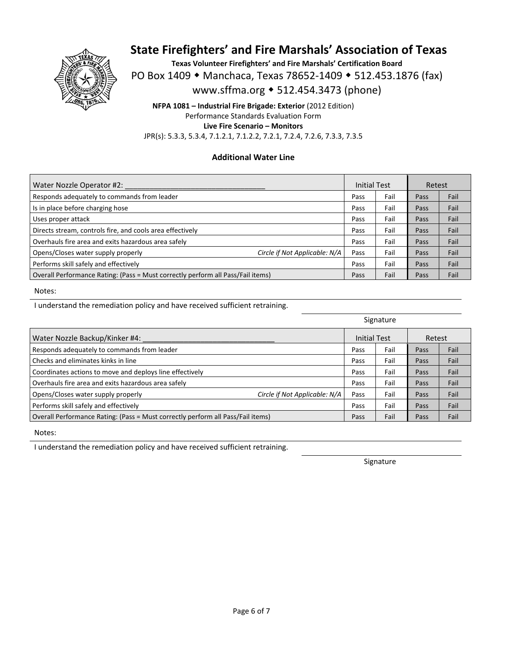

**Texas Volunteer Firefighters' and Fire Marshals' Certification Board**  PO Box 1409 ◆ Manchaca, Texas 78652-1409 ◆ 512.453.1876 (fax) www.sffma.org 512.454.3473 (phone)

**NFPA 1081 – Industrial Fire Brigade: Exterior** (2012 Edition) Performance Standards Evaluation Form **Live Fire Scenario – Monitors**  JPR(s): 5.3.3, 5.3.4, 7.1.2.1, 7.1.2.2, 7.2.1, 7.2.4, 7.2.6, 7.3.3, 7.3.5

### **Additional Water Line**

| Water Nozzle Operator #2:                                                       |                               | <b>Initial Test</b> |      | Retest |      |
|---------------------------------------------------------------------------------|-------------------------------|---------------------|------|--------|------|
| Responds adequately to commands from leader                                     |                               | Pass                | Fail | Pass   | Fail |
| Is in place before charging hose                                                |                               | Pass                | Fail | Pass   | Fail |
| Uses proper attack                                                              |                               | Pass                | Fail | Pass   | Fail |
| Directs stream, controls fire, and cools area effectively                       |                               | Pass                | Fail | Pass   | Fail |
| Overhauls fire area and exits hazardous area safely                             |                               | Pass                | Fail | Pass   | Fail |
| Opens/Closes water supply properly                                              | Circle if Not Applicable: N/A | Pass                | Fail | Pass   | Fail |
| Performs skill safely and effectively                                           |                               | Pass                | Fail | Pass   | Fail |
| Overall Performance Rating: (Pass = Must correctly perform all Pass/Fail items) |                               | Pass                | Fail | Pass   | Fail |

Notes:

I understand the remediation policy and have received sufficient retraining.

|                                                                                 |                               | Signature           |      |        |      |
|---------------------------------------------------------------------------------|-------------------------------|---------------------|------|--------|------|
| Water Nozzle Backup/Kinker #4:                                                  |                               | <b>Initial Test</b> |      | Retest |      |
| Responds adequately to commands from leader                                     |                               | Pass                | Fail | Pass   | Fail |
| Checks and eliminates kinks in line                                             |                               | Pass                | Fail | Pass   | Fail |
| Coordinates actions to move and deploys line effectively                        |                               | Pass                | Fail | Pass   | Fail |
| Overhauls fire area and exits hazardous area safely                             |                               | Pass                | Fail | Pass   | Fail |
| Opens/Closes water supply properly                                              | Circle if Not Applicable: N/A | Pass                | Fail | Pass   | Fail |
| Performs skill safely and effectively                                           |                               | Pass                | Fail | Pass   | Fail |
| Overall Performance Rating: (Pass = Must correctly perform all Pass/Fail items) |                               | Pass                | Fail | Pass   | Fail |

Notes:

I understand the remediation policy and have received sufficient retraining.